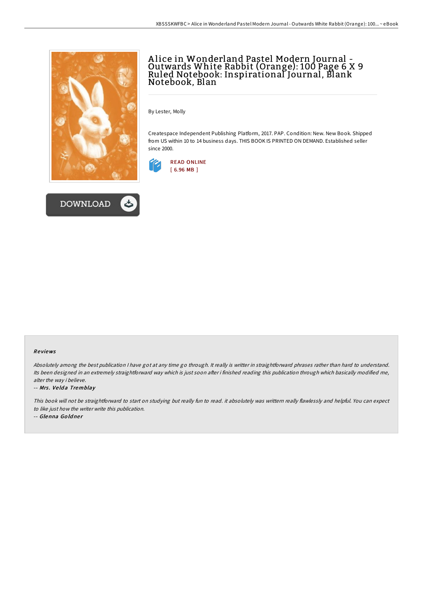

**DOWNLOAD** 



By Lester, Molly

Createspace Independent Publishing Platform, 2017. PAP. Condition: New. New Book. Shipped from US within 10 to 14 business days. THIS BOOK IS PRINTED ON DEMAND. Established seller since 2000.



#### Re views

Absolutely among the best publication <sup>I</sup> have got at any time go through. It really is writter in straightforward phrases rather than hard to understand. Its been designed in an extremely straightforward way which is just soon after i finished reading this publication through which basically modified me, alter the way i believe.

#### -- Mrs. Velda Tremblay

This book will not be straightforward to start on studying but really fun to read. it absolutely was writtern really flawlessly and helpful. You can expect to like just how the writer write this publication.

-- Glenna Goldner